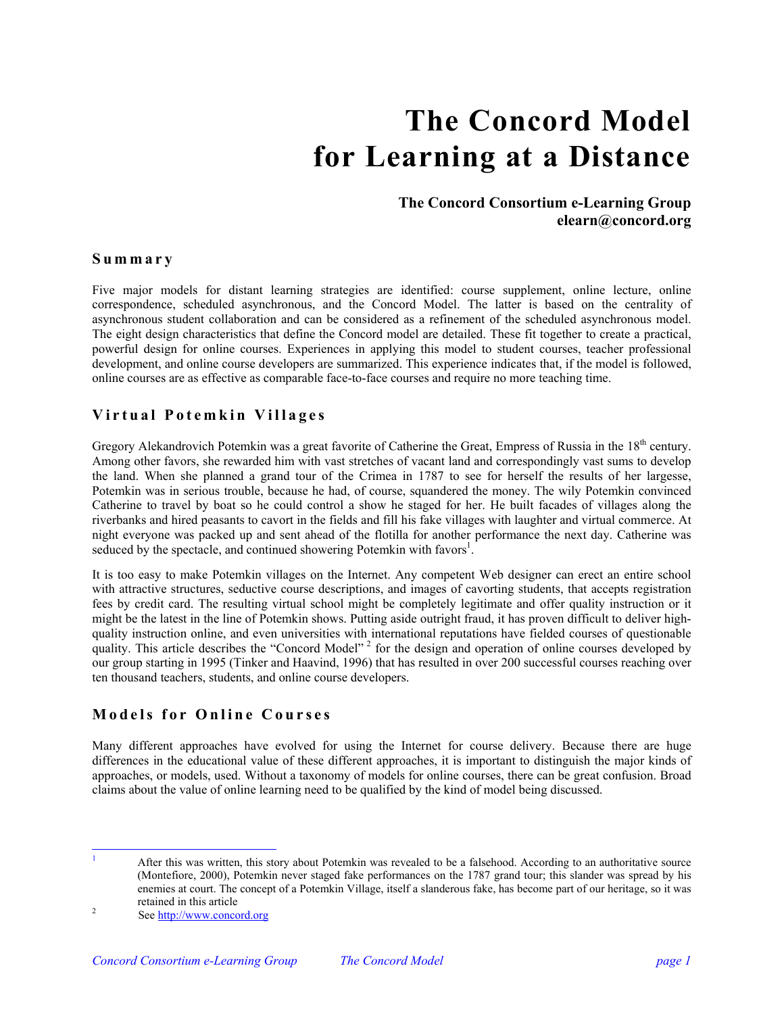# **The Concord Model for Learning at a Distance**

# **The Concord Consortium e-Learning Group elearn@concord.org**

## **Summary**

Five major models for distant learning strategies are identified: course supplement, online lecture, online correspondence, scheduled asynchronous, and the Concord Model. The latter is based on the centrality of asynchronous student collaboration and can be considered as a refinement of the scheduled asynchronous model. The eight design characteristics that define the Concord model are detailed. These fit together to create a practical, powerful design for online courses. Experiences in applying this model to student courses, teacher professional development, and online course developers are summarized. This experience indicates that, if the model is followed, online courses are as effective as comparable face-to-face courses and require no more teaching time.

# **Virtual Potemkin Villages**

Gregory Alekandrovich Potemkin was a great favorite of Catherine the Great, Empress of Russia in the 18<sup>th</sup> century. Among other favors, she rewarded him with vast stretches of vacant land and correspondingly vast sums to develop the land. When she planned a grand tour of the Crimea in 1787 to see for herself the results of her largesse, Potemkin was in serious trouble, because he had, of course, squandered the money. The wily Potemkin convinced Catherine to travel by boat so he could control a show he staged for her. He built facades of villages along the riverbanks and hired peasants to cavort in the fields and fill his fake villages with laughter and virtual commerce. At night everyone was packed up and sent ahead of the flotilla for another performance the next day. Catherine was seduced by the spectacle, and continued showering Potemkin with favors<sup>[1](#page-0-0)</sup>.

It is too easy to make Potemkin villages on the Internet. Any competent Web designer can erect an entire school with attractive structures, seductive course descriptions, and images of cavorting students, that accepts registration fees by credit card. The resulting virtual school might be completely legitimate and offer quality instruction or it might be the latest in the line of Potemkin shows. Putting aside outright fraud, it has proven difficult to deliver highquality instruction online, and even universities with international reputations have fielded courses of questionable quality. This article describes the "Concord Model"<sup>2</sup> for the design and operation of online courses developed by our group starting in 1995 (Tinker and Haavind, 1996) that has resulted in over 200 successful courses reaching over ten thousand teachers, students, and online course developers.

## **Models for Online Courses**

Many different approaches have evolved for using the Internet for course delivery. Because there are huge differences in the educational value of these different approaches, it is important to distinguish the major kinds of approaches, or models, used. Without a taxonomy of models for online courses, there can be great confusion. Broad claims about the value of online learning need to be qualified by the kind of model being discussed.

<span id="page-0-0"></span> After this was written, this story about Potemkin was revealed to be a falsehood. According to an authoritative source (Montefiore, 2000), Potemkin never staged fake performances on the 1787 grand tour; this slander was spread by his enemies at court. The concept of a Potemkin Village, itself a slanderous fake, has become part of our heritage, so it was

|<br>|<br>|

<span id="page-0-1"></span>retained in this article  $\frac{2}{3}$ See http://www.[concord.org](http://www.concord.org/)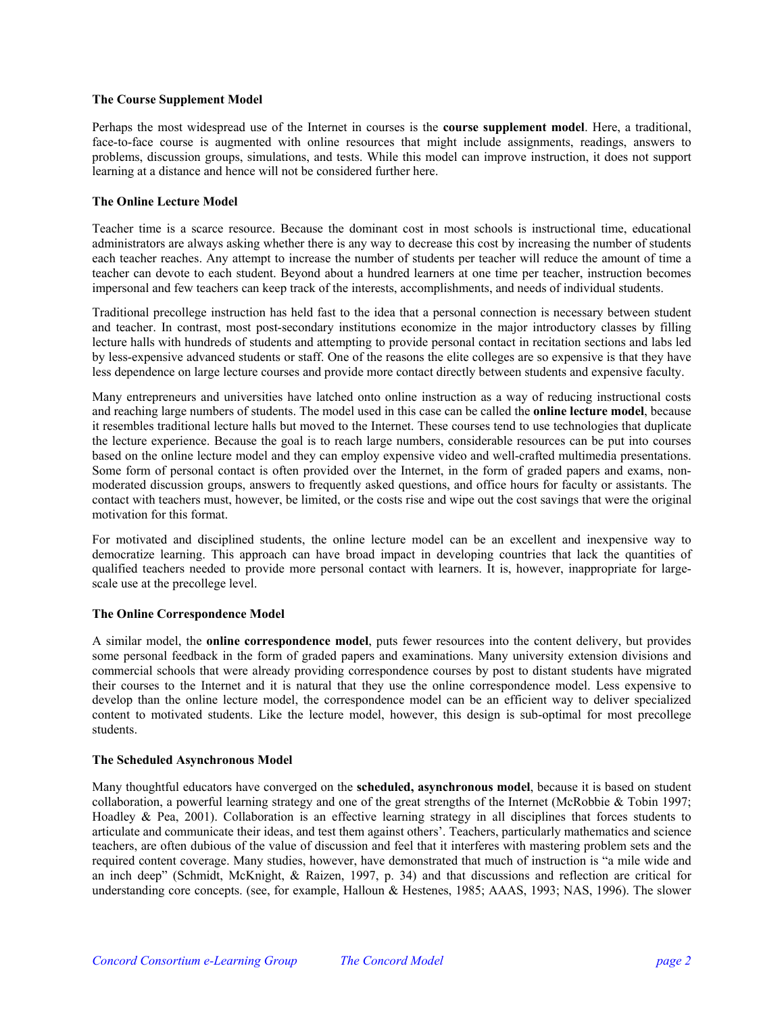#### **The Course Supplement Model**

Perhaps the most widespread use of the Internet in courses is the **course supplement model**. Here, a traditional, face-to-face course is augmented with online resources that might include assignments, readings, answers to problems, discussion groups, simulations, and tests. While this model can improve instruction, it does not support learning at a distance and hence will not be considered further here.

## **The Online Lecture Model**

Teacher time is a scarce resource. Because the dominant cost in most schools is instructional time, educational administrators are always asking whether there is any way to decrease this cost by increasing the number of students each teacher reaches. Any attempt to increase the number of students per teacher will reduce the amount of time a teacher can devote to each student. Beyond about a hundred learners at one time per teacher, instruction becomes impersonal and few teachers can keep track of the interests, accomplishments, and needs of individual students.

Traditional precollege instruction has held fast to the idea that a personal connection is necessary between student and teacher. In contrast, most post-secondary institutions economize in the major introductory classes by filling lecture halls with hundreds of students and attempting to provide personal contact in recitation sections and labs led by less-expensive advanced students or staff. One of the reasons the elite colleges are so expensive is that they have less dependence on large lecture courses and provide more contact directly between students and expensive faculty.

Many entrepreneurs and universities have latched onto online instruction as a way of reducing instructional costs and reaching large numbers of students. The model used in this case can be called the **online lecture model**, because it resembles traditional lecture halls but moved to the Internet. These courses tend to use technologies that duplicate the lecture experience. Because the goal is to reach large numbers, considerable resources can be put into courses based on the online lecture model and they can employ expensive video and well-crafted multimedia presentations. Some form of personal contact is often provided over the Internet, in the form of graded papers and exams, nonmoderated discussion groups, answers to frequently asked questions, and office hours for faculty or assistants. The contact with teachers must, however, be limited, or the costs rise and wipe out the cost savings that were the original motivation for this format.

For motivated and disciplined students, the online lecture model can be an excellent and inexpensive way to democratize learning. This approach can have broad impact in developing countries that lack the quantities of qualified teachers needed to provide more personal contact with learners. It is, however, inappropriate for largescale use at the precollege level.

#### **The Online Correspondence Model**

A similar model, the **online correspondence model**, puts fewer resources into the content delivery, but provides some personal feedback in the form of graded papers and examinations. Many university extension divisions and commercial schools that were already providing correspondence courses by post to distant students have migrated their courses to the Internet and it is natural that they use the online correspondence model. Less expensive to develop than the online lecture model, the correspondence model can be an efficient way to deliver specialized content to motivated students. Like the lecture model, however, this design is sub-optimal for most precollege students.

### **The Scheduled Asynchronous Model**

Many thoughtful educators have converged on the **scheduled, asynchronous model**, because it is based on student collaboration, a powerful learning strategy and one of the great strengths of the Internet (McRobbie & Tobin 1997; Hoadley & Pea, 2001). Collaboration is an effective learning strategy in all disciplines that forces students to articulate and communicate their ideas, and test them against others'. Teachers, particularly mathematics and science teachers, are often dubious of the value of discussion and feel that it interferes with mastering problem sets and the required content coverage. Many studies, however, have demonstrated that much of instruction is "a mile wide and an inch deep" (Schmidt, McKnight, & Raizen, 1997, p. 34) and that discussions and reflection are critical for understanding core concepts. (see, for example, Halloun & Hestenes, 1985; AAAS, 1993; NAS, 1996). The slower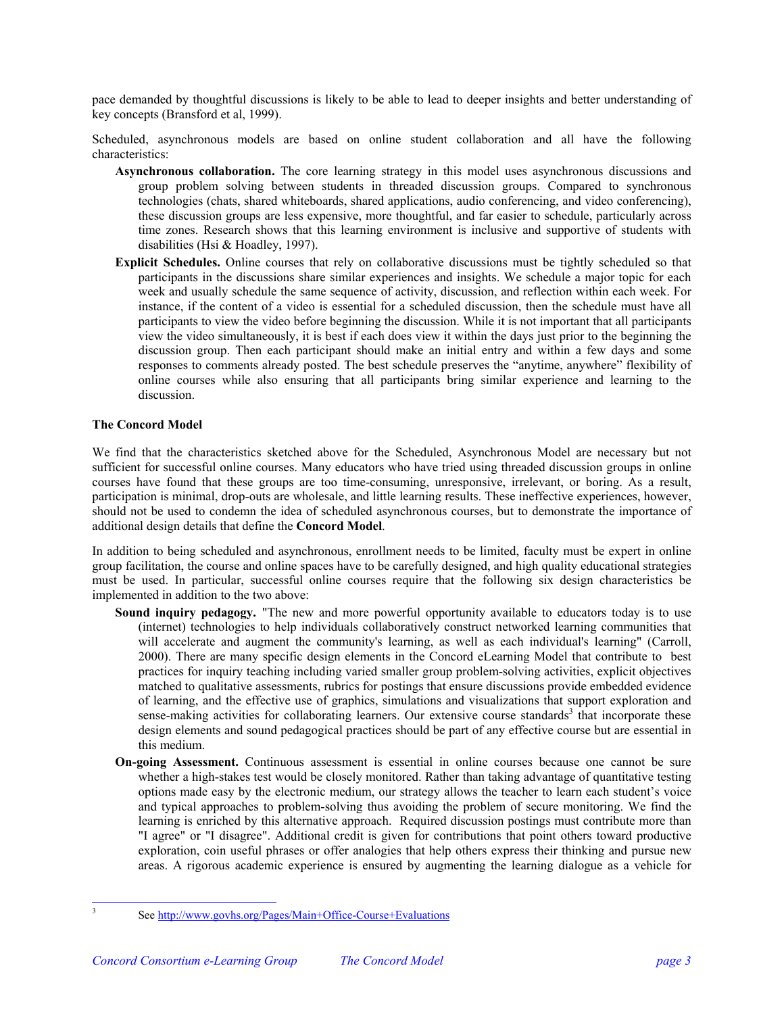pace demanded by thoughtful discussions is likely to be able to lead to deeper insights and better understanding of key concepts (Bransford et al, 1999).

Scheduled, asynchronous models are based on online student collaboration and all have the following characteristics:

- **Asynchronous collaboration.** The core learning strategy in this model uses asynchronous discussions and group problem solving between students in threaded discussion groups. Compared to synchronous technologies (chats, shared whiteboards, shared applications, audio conferencing, and video conferencing), these discussion groups are less expensive, more thoughtful, and far easier to schedule, particularly across time zones. Research shows that this learning environment is inclusive and supportive of students with disabilities (Hsi & Hoadley, 1997).
- **Explicit Schedules.** Online courses that rely on collaborative discussions must be tightly scheduled so that participants in the discussions share similar experiences and insights. We schedule a major topic for each week and usually schedule the same sequence of activity, discussion, and reflection within each week. For instance, if the content of a video is essential for a scheduled discussion, then the schedule must have all participants to view the video before beginning the discussion. While it is not important that all participants view the video simultaneously, it is best if each does view it within the days just prior to the beginning the discussion group. Then each participant should make an initial entry and within a few days and some responses to comments already posted. The best schedule preserves the "anytime, anywhere" flexibility of online courses while also ensuring that all participants bring similar experience and learning to the discussion.

#### **The Concord Model**

We find that the characteristics sketched above for the Scheduled, Asynchronous Model are necessary but not sufficient for successful online courses. Many educators who have tried using threaded discussion groups in online courses have found that these groups are too time-consuming, unresponsive, irrelevant, or boring. As a result, participation is minimal, drop-outs are wholesale, and little learning results. These ineffective experiences, however, should not be used to condemn the idea of scheduled asynchronous courses, but to demonstrate the importance of additional design details that define the **Concord Model**.

In addition to being scheduled and asynchronous, enrollment needs to be limited, faculty must be expert in online group facilitation, the course and online spaces have to be carefully designed, and high quality educational strategies must be used. In particular, successful online courses require that the following six design characteristics be implemented in addition to the two above:

- **Sound inquiry pedagogy.** "The new and more powerful opportunity available to educators today is to use (internet) technologies to help individuals collaboratively construct networked learning communities that will accelerate and augment the community's learning, as well as each individual's learning" (Carroll, 2000). There are many specific design elements in the Concord eLearning Model that contribute to best practices for inquiry teaching including varied smaller group problem-solving activities, explicit objectives matched to qualitative assessments, rubrics for postings that ensure discussions provide embedded evidence of learning, and the effective use of graphics, simulations and visualizations that support exploration and sense-makingactivities for collaborating learners. Our extensive course standards<sup>3</sup> that incorporate these design elements and sound pedagogical practices should be part of any effective course but are essential in this medium.
- **On-going Assessment.** Continuous assessment is essential in online courses because one cannot be sure whether a high-stakes test would be closely monitored. Rather than taking advantage of quantitative testing options made easy by the electronic medium, our strategy allows the teacher to learn each student's voice and typical approaches to problem-solving thus avoiding the problem of secure monitoring. We find the learning is enriched by this alternative approach. Required discussion postings must contribute more than "I agree" or "I disagree". Additional credit is given for contributions that point others toward productive exploration, coin useful phrases or offer analogies that help others express their thinking and pursue new areas. A rigorous academic experience is ensured by augmenting the learning dialogue as a vehicle for

<span id="page-2-0"></span> $\frac{1}{3}$ 

See http://www.govhs.or[g/Pages/Main+Office-Course+Evaluations](http://www.govhs.org/Pages/Main+Office-Course+Evaluations)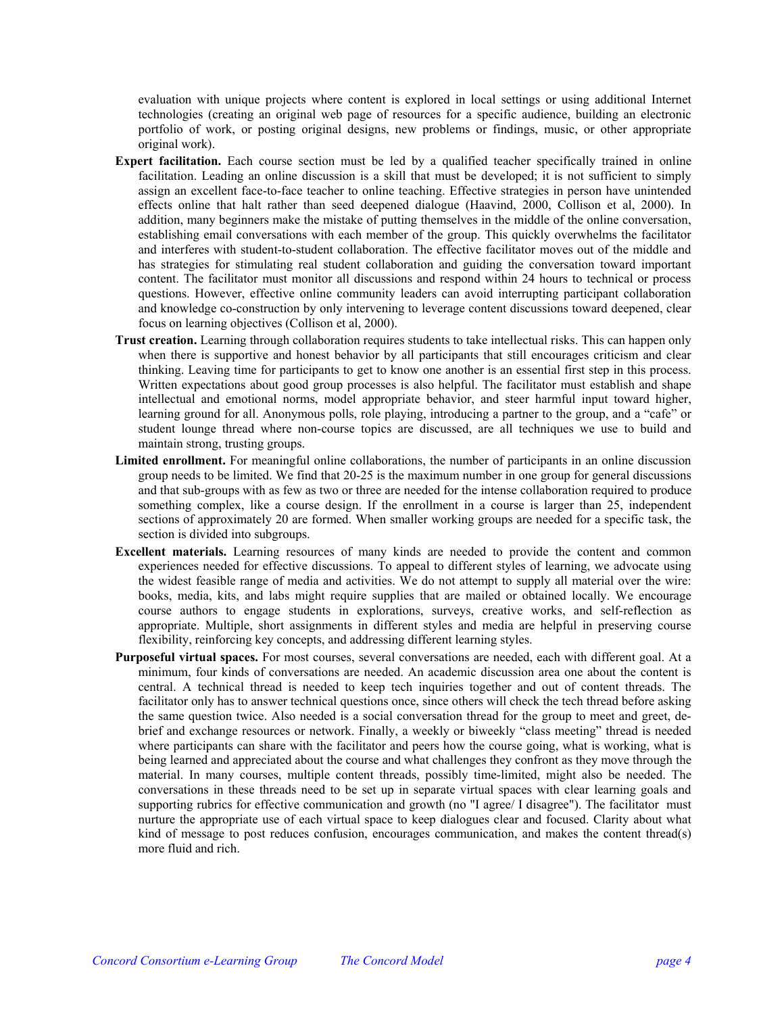evaluation with unique projects where content is explored in local settings or using additional Internet technologies (creating an original web page of resources for a specific audience, building an electronic portfolio of work, or posting original designs, new problems or findings, music, or other appropriate original work).

- **Expert facilitation.** Each course section must be led by a qualified teacher specifically trained in online facilitation. Leading an online discussion is a skill that must be developed; it is not sufficient to simply assign an excellent face-to-face teacher to online teaching. Effective strategies in person have unintended effects online that halt rather than seed deepened dialogue (Haavind, 2000, Collison et al, 2000). In addition, many beginners make the mistake of putting themselves in the middle of the online conversation, establishing email conversations with each member of the group. This quickly overwhelms the facilitator and interferes with student-to-student collaboration. The effective facilitator moves out of the middle and has strategies for stimulating real student collaboration and guiding the conversation toward important content. The facilitator must monitor all discussions and respond within 24 hours to technical or process questions. However, effective online community leaders can avoid interrupting participant collaboration and knowledge co-construction by only intervening to leverage content discussions toward deepened, clear focus on learning objectives (Collison et al, 2000).
- **Trust creation.** Learning through collaboration requires students to take intellectual risks. This can happen only when there is supportive and honest behavior by all participants that still encourages criticism and clear thinking. Leaving time for participants to get to know one another is an essential first step in this process. Written expectations about good group processes is also helpful. The facilitator must establish and shape intellectual and emotional norms, model appropriate behavior, and steer harmful input toward higher, learning ground for all. Anonymous polls, role playing, introducing a partner to the group, and a "cafe" or student lounge thread where non-course topics are discussed, are all techniques we use to build and maintain strong, trusting groups.
- **Limited enrollment.** For meaningful online collaborations, the number of participants in an online discussion group needs to be limited. We find that 20-25 is the maximum number in one group for general discussions and that sub-groups with as few as two or three are needed for the intense collaboration required to produce something complex, like a course design. If the enrollment in a course is larger than 25, independent sections of approximately 20 are formed. When smaller working groups are needed for a specific task, the section is divided into subgroups.
- **Excellent materials.** Learning resources of many kinds are needed to provide the content and common experiences needed for effective discussions. To appeal to different styles of learning, we advocate using the widest feasible range of media and activities. We do not attempt to supply all material over the wire: books, media, kits, and labs might require supplies that are mailed or obtained locally. We encourage course authors to engage students in explorations, surveys, creative works, and self-reflection as appropriate. Multiple, short assignments in different styles and media are helpful in preserving course flexibility, reinforcing key concepts, and addressing different learning styles.
- **Purposeful virtual spaces.** For most courses, several conversations are needed, each with different goal. At a minimum, four kinds of conversations are needed. An academic discussion area one about the content is central. A technical thread is needed to keep tech inquiries together and out of content threads. The facilitator only has to answer technical questions once, since others will check the tech thread before asking the same question twice. Also needed is a social conversation thread for the group to meet and greet, debrief and exchange resources or network. Finally, a weekly or biweekly "class meeting" thread is needed where participants can share with the facilitator and peers how the course going, what is working, what is being learned and appreciated about the course and what challenges they confront as they move through the material. In many courses, multiple content threads, possibly time-limited, might also be needed. The conversations in these threads need to be set up in separate virtual spaces with clear learning goals and supporting rubrics for effective communication and growth (no "I agree/ I disagree"). The facilitator must nurture the appropriate use of each virtual space to keep dialogues clear and focused. Clarity about what kind of message to post reduces confusion, encourages communication, and makes the content thread(s) more fluid and rich.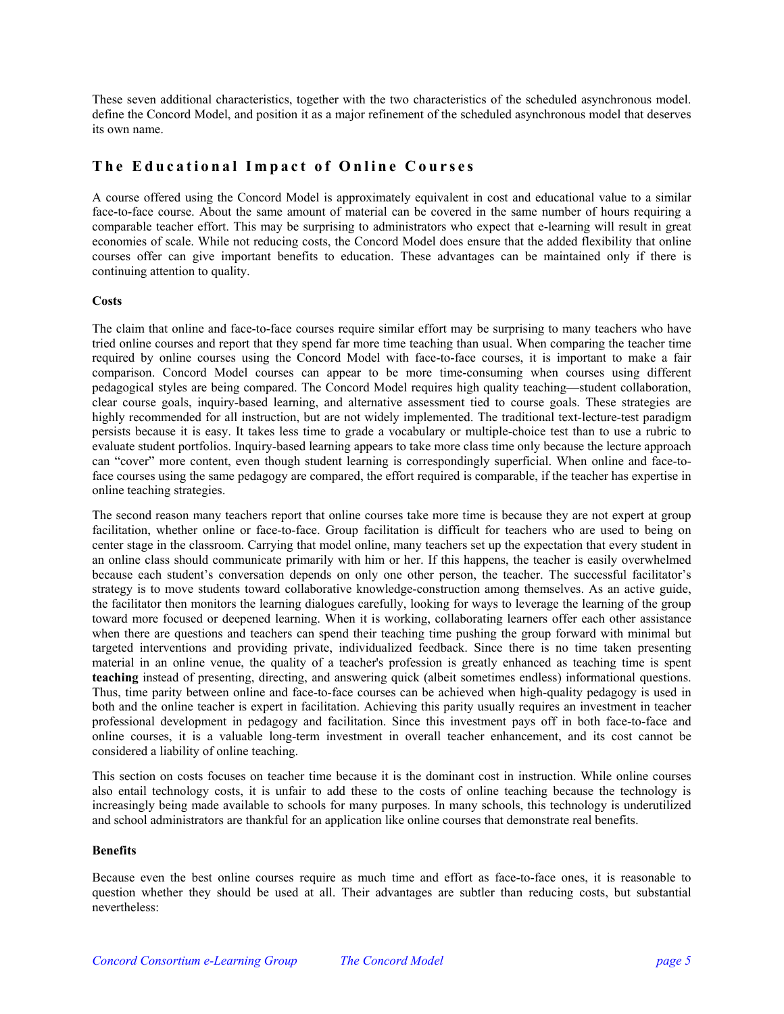These seven additional characteristics, together with the two characteristics of the scheduled asynchronous model. define the Concord Model, and position it as a major refinement of the scheduled asynchronous model that deserves its own name.

# **The Educational Impact of Online Courses**

A course offered using the Concord Model is approximately equivalent in cost and educational value to a similar face-to-face course. About the same amount of material can be covered in the same number of hours requiring a comparable teacher effort. This may be surprising to administrators who expect that e-learning will result in great economies of scale. While not reducing costs, the Concord Model does ensure that the added flexibility that online courses offer can give important benefits to education. These advantages can be maintained only if there is continuing attention to quality.

#### **Costs**

The claim that online and face-to-face courses require similar effort may be surprising to many teachers who have tried online courses and report that they spend far more time teaching than usual. When comparing the teacher time required by online courses using the Concord Model with face-to-face courses, it is important to make a fair comparison. Concord Model courses can appear to be more time-consuming when courses using different pedagogical styles are being compared. The Concord Model requires high quality teaching—student collaboration, clear course goals, inquiry-based learning, and alternative assessment tied to course goals. These strategies are highly recommended for all instruction, but are not widely implemented. The traditional text-lecture-test paradigm persists because it is easy. It takes less time to grade a vocabulary or multiple-choice test than to use a rubric to evaluate student portfolios. Inquiry-based learning appears to take more class time only because the lecture approach can "cover" more content, even though student learning is correspondingly superficial. When online and face-toface courses using the same pedagogy are compared, the effort required is comparable, if the teacher has expertise in online teaching strategies.

The second reason many teachers report that online courses take more time is because they are not expert at group facilitation, whether online or face-to-face. Group facilitation is difficult for teachers who are used to being on center stage in the classroom. Carrying that model online, many teachers set up the expectation that every student in an online class should communicate primarily with him or her. If this happens, the teacher is easily overwhelmed because each student's conversation depends on only one other person, the teacher. The successful facilitator's strategy is to move students toward collaborative knowledge-construction among themselves. As an active guide, the facilitator then monitors the learning dialogues carefully, looking for ways to leverage the learning of the group toward more focused or deepened learning. When it is working, collaborating learners offer each other assistance when there are questions and teachers can spend their teaching time pushing the group forward with minimal but targeted interventions and providing private, individualized feedback. Since there is no time taken presenting material in an online venue, the quality of a teacher's profession is greatly enhanced as teaching time is spent **teaching** instead of presenting, directing, and answering quick (albeit sometimes endless) informational questions. Thus, time parity between online and face-to-face courses can be achieved when high-quality pedagogy is used in both and the online teacher is expert in facilitation. Achieving this parity usually requires an investment in teacher professional development in pedagogy and facilitation. Since this investment pays off in both face-to-face and online courses, it is a valuable long-term investment in overall teacher enhancement, and its cost cannot be considered a liability of online teaching.

This section on costs focuses on teacher time because it is the dominant cost in instruction. While online courses also entail technology costs, it is unfair to add these to the costs of online teaching because the technology is increasingly being made available to schools for many purposes. In many schools, this technology is underutilized and school administrators are thankful for an application like online courses that demonstrate real benefits.

#### **Benefits**

Because even the best online courses require as much time and effort as face-to-face ones, it is reasonable to question whether they should be used at all. Their advantages are subtler than reducing costs, but substantial nevertheless: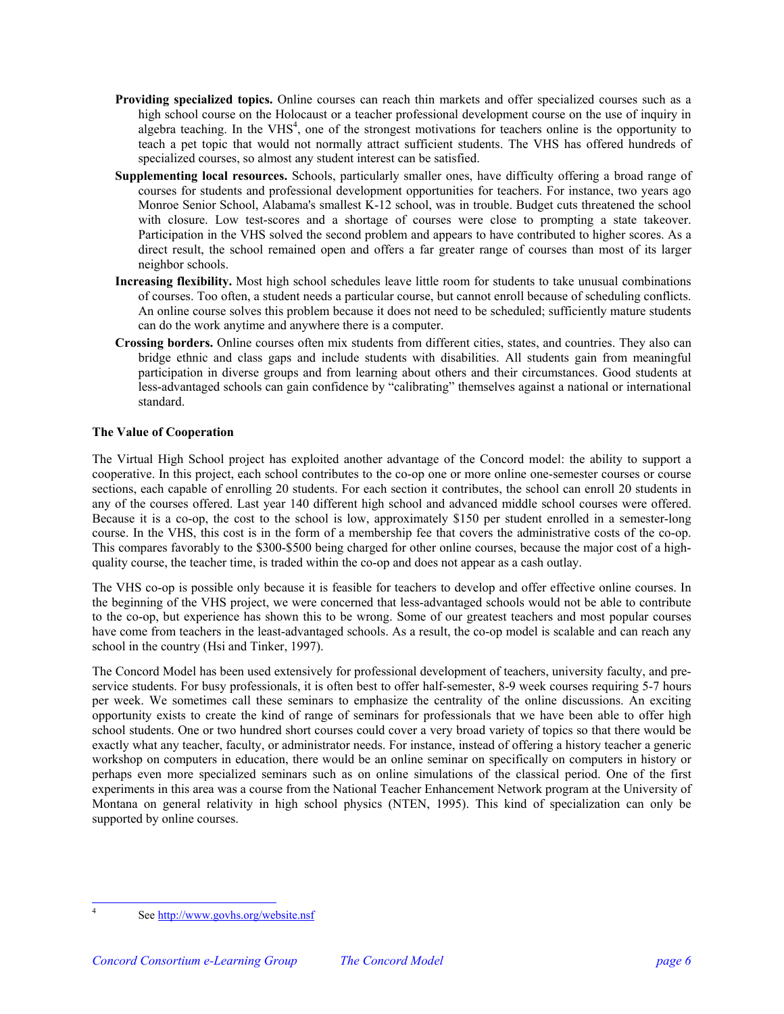- **Providing specialized topics.** Online courses can reach thin markets and offer specialized courses such as a high school course on the Holocaust or a teacher professional development course on the use of inquiry in algebra teaching. In the VHS<sup>[4](#page-5-0)</sup>, one of the strongest motivations for teachers online is the opportunity to teach a pet topic that would not normally attract sufficient students. The VHS has offered hundreds of specialized courses, so almost any student interest can be satisfied.
- **Supplementing local resources.** Schools, particularly smaller ones, have difficulty offering a broad range of courses for students and professional development opportunities for teachers. For instance, two years ago Monroe Senior School, Alabama's smallest K-12 school, was in trouble. Budget cuts threatened the school with closure. Low test-scores and a shortage of courses were close to prompting a state takeover. Participation in the VHS solved the second problem and appears to have contributed to higher scores. As a direct result, the school remained open and offers a far greater range of courses than most of its larger neighbor schools.
- **Increasing flexibility.** Most high school schedules leave little room for students to take unusual combinations of courses. Too often, a student needs a particular course, but cannot enroll because of scheduling conflicts. An online course solves this problem because it does not need to be scheduled; sufficiently mature students can do the work anytime and anywhere there is a computer.
- **Crossing borders.** Online courses often mix students from different cities, states, and countries. They also can bridge ethnic and class gaps and include students with disabilities. All students gain from meaningful participation in diverse groups and from learning about others and their circumstances. Good students at less-advantaged schools can gain confidence by "calibrating" themselves against a national or international standard.

## **The Value of Cooperation**

The Virtual High School project has exploited another advantage of the Concord model: the ability to support a cooperative. In this project, each school contributes to the co-op one or more online one-semester courses or course sections, each capable of enrolling 20 students. For each section it contributes, the school can enroll 20 students in any of the courses offered. Last year 140 different high school and advanced middle school courses were offered. Because it is a co-op, the cost to the school is low, approximately \$150 per student enrolled in a semester-long course. In the VHS, this cost is in the form of a membership fee that covers the administrative costs of the co-op. This compares favorably to the \$300-\$500 being charged for other online courses, because the major cost of a highquality course, the teacher time, is traded within the co-op and does not appear as a cash outlay.

The VHS co-op is possible only because it is feasible for teachers to develop and offer effective online courses. In the beginning of the VHS project, we were concerned that less-advantaged schools would not be able to contribute to the co-op, but experience has shown this to be wrong. Some of our greatest teachers and most popular courses have come from teachers in the least-advantaged schools. As a result, the co-op model is scalable and can reach any school in the country (Hsi and Tinker, 1997).

The Concord Model has been used extensively for professional development of teachers, university faculty, and preservice students. For busy professionals, it is often best to offer half-semester, 8-9 week courses requiring 5-7 hours per week. We sometimes call these seminars to emphasize the centrality of the online discussions. An exciting opportunity exists to create the kind of range of seminars for professionals that we have been able to offer high school students. One or two hundred short courses could cover a very broad variety of topics so that there would be exactly what any teacher, faculty, or administrator needs. For instance, instead of offering a history teacher a generic workshop on computers in education, there would be an online seminar on specifically on computers in history or perhaps even more specialized seminars such as on online simulations of the classical period. One of the first experiments in this area was a course from the National Teacher Enhancement Network program at the University of Montana on general relativity in high school physics (NTEN, 1995). This kind of specialization can only be supported by online courses.

 $\frac{1}{4}$ 

<span id="page-5-0"></span>See http://www.govhs.org/website.nsf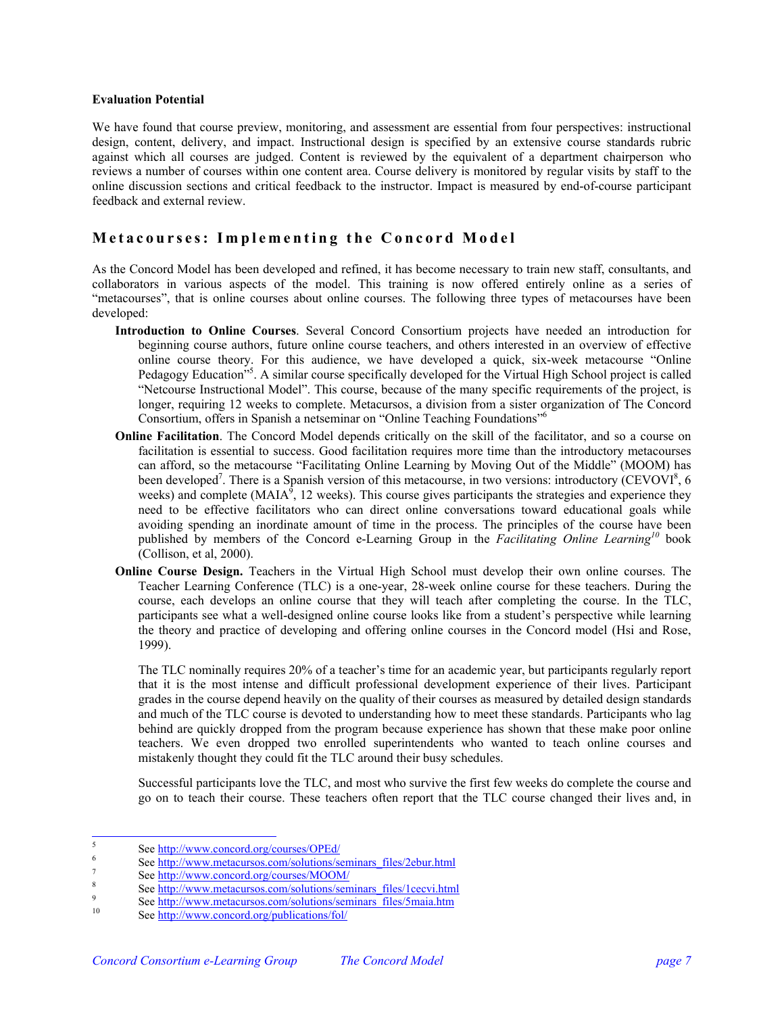#### **Evaluation Potential**

We have found that course preview, monitoring, and assessment are essential from four perspectives: instructional design, content, delivery, and impact. Instructional design is specified by an extensive course standards rubric against which all courses are judged. Content is reviewed by the equivalent of a department chairperson who reviews a number of courses within one content area. Course delivery is monitored by regular visits by staff to the online discussion sections and critical feedback to the instructor. Impact is measured by end-of-course participant feedback and external review.

## **Metacourses: Im plementi ng t h e Concord Model**

As the Concord Model has been developed and refined, it has become necessary to train new staff, consultants, and collaborators in various aspects of the model. This training is now offered entirely online as a series of "metacourses", that is online courses about online courses. The following three types of metacourses have been developed:

- **Introduction to Online Courses**. Several Concord Consortium projects have needed an introduction for beginning course authors, future online course teachers, and others interested in an overview of effective online course theory. For this audience, we have developed a quick, six-week metacourse "Online Pedagogy Education"<sup>5</sup>. A similar course specifically developed for the Virtual High School project is called "Netcourse Instructional Model". This course, because of the many specific requirements of the project, is longer, requiring 12 weeks to complete. Metacursos, a division from a sister organization of The Concord Consortium, offers in Spanish a netseminar on "Online Teaching Foundations"[6](#page-6-1)
- **Online Facilitation**. The Concord Model depends critically on the skill of the facilitator, and so a course on facilitation is essential to success. Good facilitation requires more time than the introductory metacourses can afford, so the metacourse "Facilitating Online Learning by Moving Out of the Middle" (MOOM) has been developed<sup>[7](#page-6-2)</sup>. There is a Spanish version of this metacourse, in two versions: introductory (CEVOVI<sup>[8](#page-6-3)</sup>, 6) weeks) and complete (MAIA $\hat{P}$ , 12 weeks). This course gives participants the strategies and experience they need to be effective facilitators who can direct online conversations toward educational goals while avoiding spending an inordinate amount of time in the process. The principles of the course have been published by members of the Concord e-Learning Group in the *Facilitating Online Learning[10](#page-6-5)* book (Collison, et al, 2000).
- **Online Course Design.** Teachers in the Virtual High School must develop their own online courses. The Teacher Learning Conference (TLC) is a one-year, 28-week online course for these teachers. During the course, each develops an online course that they will teach after completing the course. In the TLC, participants see what a well-designed online course looks like from a student's perspective while learning the theory and practice of developing and offering online courses in the Concord model (Hsi and Rose, 1999).

The TLC nominally requires 20% of a teacher's time for an academic year, but participants regularly report that it is the most intense and difficult professional development experience of their lives. Participant grades in the course depend heavily on the quality of their courses as measured by detailed design standards and much of the TLC course is devoted to understanding how to meet these standards. Participants who lag behind are quickly dropped from the program because experience has shown that these make poor online teachers. We even dropped two enrolled superintendents who wanted to teach online courses and mistakenly thought they could fit the TLC around their busy schedules.

Successful participants love the TLC, and most who survive the first few weeks do complete the course and go on to teach their course. These teachers often report that the TLC course changed their lives and, in

 $\frac{1}{5}$ See<http://www.concord.org/courses/OPEd/> <sup>6</sup>

<span id="page-6-1"></span><span id="page-6-0"></span>See http://www.metacursos.com/solutions/seminars\_files/2ebur.html

<span id="page-6-2"></span> $S_e$  See  $\frac{http://www.concurrent.org/courses/MOM/}{\text{8}}$ 

<span id="page-6-3"></span>See  $\frac{http://www.metacurso.com/solutions/seminars_files/1cecvi.html}{\text{See http://www.metacurso.com/solutions/seminars_files/1cecvi.html}}$ 

<span id="page-6-4"></span>See http://www.[metacursos.com/solutions/seminars\\_files/5maia.htm](http://www.metacursos.com/solutions/seminars_files/5maia.htm) 3.5 See http://www.[concord.org/publications/fol/](http://www.concord.org/publications/fol/)

<span id="page-6-5"></span>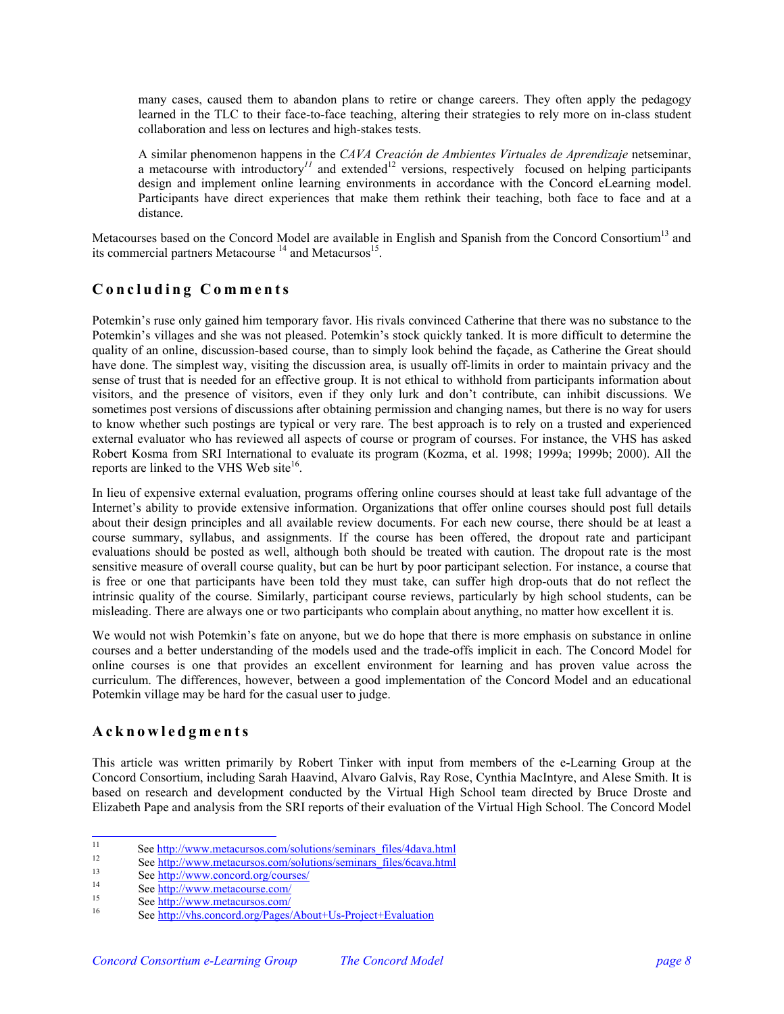many cases, caused them to abandon plans to retire or change careers. They often apply the pedagogy learned in the TLC to their face-to-face teaching, altering their strategies to rely more on in-class student collaboration and less on lectures and high-stakes tests.

A similar phenomenon happens in the *CAVA Creación de Ambientes Virtuales de Aprendizaje* netseminar, a metacourse with introductory<sup> $11$ </sup> and extended<sup>[12](#page-7-1)</sup> versions, respectively focused on helping participants design and implement online learning environments in accordance with the Concord eLearning model. Participants have direct experiences that make them rethink their teaching, both face to face and at a distance.

Metacourses based on the Concord Model are available in English and Spanish from the Concord Consortium<sup>13</sup> and its commercial partners Metacourse  $^{14}$  and Metacursos<sup>15</sup>.

# **C o ncluding Com m ents**

Potemkin's ruse only gained him temporary favor. His rivals convinced Catherine that there was no substance to the Potemkin's villages and she was not pleased. Potemkin's stock quickly tanked. It is more difficult to determine the quality of an online, discussion-based course, than to simply look behind the façade, as Catherine the Great should have done. The simplest way, visiting the discussion area, is usually off-limits in order to maintain privacy and the sense of trust that is needed for an effective group. It is not ethical to withhold from participants information about visitors, and the presence of visitors, even if they only lurk and don't contribute, can inhibit discussions. We sometimes post versions of discussions after obtaining permission and changing names, but there is no way for users to know whether such postings are typical or very rare. The best approach is to rely on a trusted and experienced external evaluator who has reviewed all aspects of course or program of courses. For instance, the VHS has asked Robert Kosma from SRI International to evaluate its program (Kozma, et al. 1998; 1999a; 1999b; 2000). All the reports are linked to the VHS Web site $16$ .

In lieu of expensive external evaluation, programs offering online courses should at least take full advantage of the Internet's ability to provide extensive information. Organizations that offer online courses should post full details about their design principles and all available review documents. For each new course, there should be at least a course summary, syllabus, and assignments. If the course has been offered, the dropout rate and participant evaluations should be posted as well, although both should be treated with caution. The dropout rate is the most sensitive measure of overall course quality, but can be hurt by poor participant selection. For instance, a course that is free or one that participants have been told they must take, can suffer high drop-outs that do not reflect the intrinsic quality of the course. Similarly, participant course reviews, particularly by high school students, can be misleading. There are always one or two participants who complain about anything, no matter how excellent it is.

We would not wish Potemkin's fate on anyone, but we do hope that there is more emphasis on substance in online courses and a better understanding of the models used and the trade-offs implicit in each. The Concord Model for online courses is one that provides an excellent environment for learning and has proven value across the curriculum. The differences, however, between a good implementation of the Concord Model and an educational Potemkin village may be hard for the casual user to judge.

# **Ackno w l e dgme nts**

This article was written primarily by Robert Tinker with input from members of the e-Learning Group at the Concord Consortium, including Sarah Haavind, Alvaro Galvis, Ray Rose, Cynthia MacIntyre, and Alese Smith. It is based on research and development conducted by the Virtual High School team directed by Bruce Droste and Elizabeth Pape and analysis from the SRI reports of their evaluation of the Virtual High School. The Concord Model

<span id="page-7-0"></span>See <u>http://www.[metacursos.com/solutions/seminars\\_files/4dava.html](http://www.metacursos.com/solutions/seminars_files/4dava.html)</u><br>
<sup>12</sup><br>
See <u>http://www.[metacursos.com/solutions/seminars\\_files/6cava.html](http://www.metacursos.com/solutions/seminars_files/6cava.html)</u><br>
<sup>13</sup><br>
See <u>http://www.[metacourse.com/](http://www.metacourse.com/)</u><br>
<sup>15</sup><br>
See <u>http://www.metacourse.com/</u>

<span id="page-7-1"></span>

<span id="page-7-2"></span>

<span id="page-7-3"></span>

<span id="page-7-4"></span>

<span id="page-7-5"></span>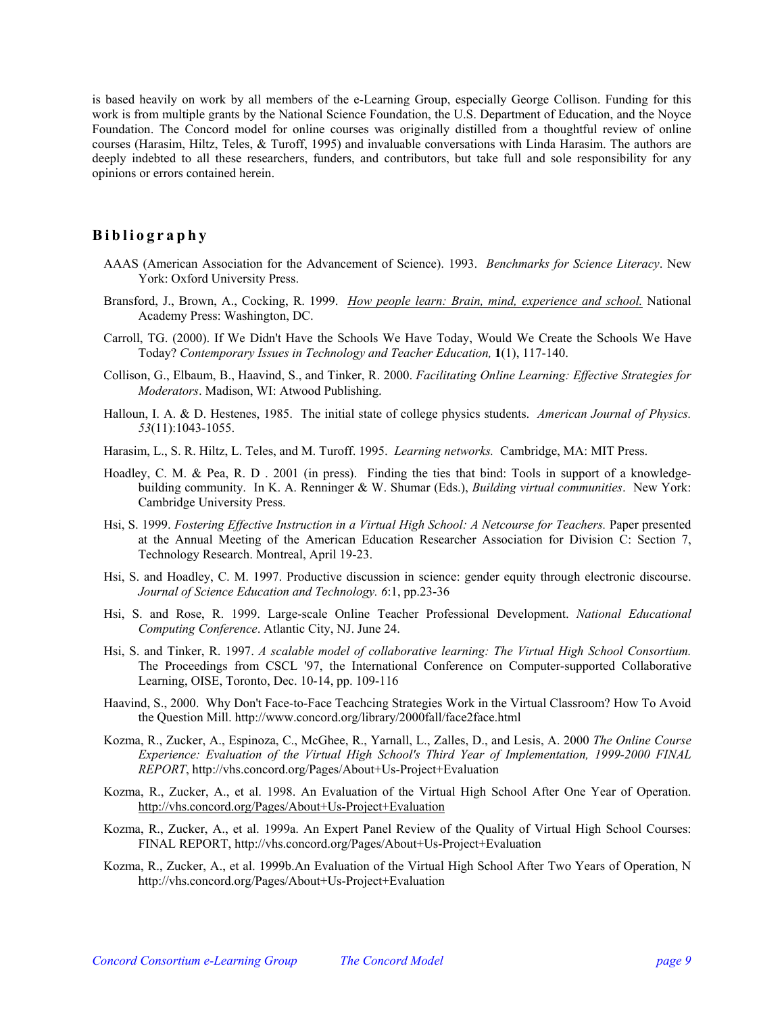is based heavily on work by all members of the e-Learning Group, especially George Collison. Funding for this work is from multiple grants by the National Science Foundation, the U.S. Department of Education, and the Noyce Foundation. The Concord model for online courses was originally distilled from a thoughtful review of online courses (Harasim, Hiltz, Teles, & Turoff, 1995) and invaluable conversations with Linda Harasim. The authors are deeply indebted to all these researchers, funders, and contributors, but take full and sole responsibility for any opinions or errors contained herein.

## **Bibliogr aphy**

- AAAS (American Association for the Advancement of Science). 1993. *Benchmarks for Science Literacy*. New York: Oxford University Press.
- Bransford, J., Brown, A., Cocking, R. 1999. *How people learn: Brain, mind, experience and school.* National Academy Press: Washington, DC.
- Carroll, TG. (2000). If We Didn't Have the Schools We Have Today, Would We Create the Schools We Have Today? *Contemporary Issues in Technology and Teacher Education,* **1**(1), 117-140.
- Collison, G., Elbaum, B., Haavind, S., and Tinker, R. 2000. *Facilitating Online Learning: Effective Strategies for Moderators*. Madison, WI: Atwood Publishing.
- Halloun, I. A. & D. Hestenes, 1985. The initial state of college physics students. *American Journal of Physics. 53*(11):1043-1055.
- Harasim, L., S. R. Hiltz, L. Teles, and M. Turoff. 1995. *Learning networks.* Cambridge, MA: MIT Press.
- Hoadley, C. M. & Pea, R. D . 2001 (in press). Finding the ties that bind: Tools in support of a knowledgebuilding community. In K. A. Renninger & W. Shumar (Eds.), *Building virtual communities*. New York: Cambridge University Press.
- Hsi, S. 1999. *Fostering Effective Instruction in a Virtual High School: A Netcourse for Teachers.* Paper presented at the Annual Meeting of the American Education Researcher Association for Division C: Section 7, Technology Research. Montreal, April 19-23.
- Hsi, S. and Hoadley, C. M. 1997. Productive discussion in science: gender equity through electronic discourse. *Journal of Science Education and Technology. 6*:1, pp.23-36
- Hsi, S. and Rose, R. 1999. Large-scale Online Teacher Professional Development. *National Educational Computing Conference*. Atlantic City, NJ. June 24.
- Hsi, S. and Tinker, R. 1997. *A scalable model of collaborative learning: The Virtual High School Consortium.*  The Proceedings from CSCL '97, the International Conference on Computer-supported Collaborative Learning, OISE, Toronto, Dec. 10-14, pp. 109-116
- Haavind, S., 2000. Why Don't Face-to-Face Teachcing Strategies Work in the Virtual Classroom? How To Avoid the Question Mill. http://www.concord.org/library/2000fall/face2face.html
- Kozma, R., Zucker, A., Espinoza, C., McGhee, R., Yarnall, L., Zalles, D., and Lesis, A. 2000 *The Online Course Experience: Evaluation of the Virtual High School's Third Year of Implementation, 1999-2000 FINAL REPORT*, http://vhs.concord.org/Pages/About+Us-Project+Evaluation
- Kozma, R., Zucker, A., et al. 1998. An Evaluation of the Virtual High School After One Year of Operation. <http://vhs.concord.org/Pages/About+Us-Project+Evaluation>
- Kozma, R., Zucker, A., et al. 1999a. An Expert Panel Review of the Quality of Virtual High School Courses: FINAL REPORT, http://vhs.concord.org/Pages/About+Us-Project+Evaluation
- Kozma, R., Zucker, A., et al. 1999b.An Evaluation of the Virtual High School After Two Years of Operation, N http://vhs.concord.org/Pages/About+Us-Project+Evaluation